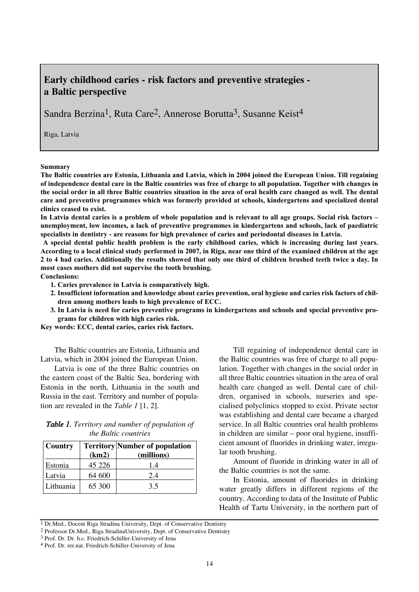## **Early childhood caries - risk factors and preventive strategies a Baltic perspective**

Sandra Berzina1, Ruta Care2, Annerose Borutta3, Susanne Keist4

Riga, Latvia

**Summary**

**The Baltic countries are Estonia, Lithuania and Latvia, which in 2004 joined the European Union. Till regaining of independence dental care in the Baltic countries was free of charge to all population. Together with changes in the social order in all three Baltic countries situation in the area of oral health care changed as well. The dental care and preventive programmes which was formerly provided at schools, kindergartens and specialized dental clinics ceased to exist.** 

**In Latvia dental caries is a problem of whole population and is relevant to all age groups. Social risk factors – unemployment, low incomes, a lack of preventive programmes in kindergartens and schools, lack of paediatric specialists in dentistry - are reasons for high prevalence of caries and periodontal diseases in Latvia.**

**A special dental public health problem is the early childhood caries, which is increasing during last years. According to a local clinical study performed in 2007, in Riga, near one third of the examined children at the age 2 to 4 had caries. Additionally the results showed that only one third of children brushed teeth twice a day. In most cases mothers did not supervise the tooth brushing.**

**Conclusions:**

- **1. Caries prevalence in Latvia is comparatively high.**
- **2. Insufficient information and knowledge about caries prevention, oral hygiene and caries risk factors of children among mothers leads to high prevalence of ECC.**
- **3. In Latvia is need for caries preventive programs in kindergartens and schools and special preventive programs for children with high caries risk.**

**Key words: ECC, dental caries, caries risk factors.**

The Baltic countries are Estonia, Lithuania and Latvia, which in 2004 joined the European Union.

Latvia is one of the three Baltic countries on the eastern coast of the Baltic Sea, bordering with Estonia in the north, Lithuania in the south and Russia in the east. Territory and number of population are revealed in the *Table 1* [1, 2].

| <b>Table 1.</b> Territory and number of population of |
|-------------------------------------------------------|
| <i>the Baltic countries</i>                           |

| Country   | (km2)    | <b>Territory</b> Number of population<br>(millions) |
|-----------|----------|-----------------------------------------------------|
| Estonia   | 45 2 2 6 | 1.4                                                 |
| Latvia    | 64 600   | 2.4                                                 |
| Lithuania | 65 300   | 3.5                                                 |

Till regaining of independence dental care in the Baltic countries was free of charge to all population. Together with changes in the social order in all three Baltic countries situation in the area of oral health care changed as well. Dental care of children, organised in schools, nurseries and specialised polyclinics stopped to exist. Private sector was establishing and dental care became a charged service. In all Baltic countries oral health problems in children are similar – poor oral hygiene, insufficient amount of fluorides in drinking water, irregular tooth brushing.

Amount of fluoride in drinking water in all of the Baltic countries is not the same.

In Estonia, amount of fluorides in drinking water greatly differs in different regions of the country. According to data of the Institute of Public Health of Tartu University, in the northern part of

<sup>&</sup>lt;sup>1</sup> Dr.Med., Docent Riga Stradina University, Dept. of Conservative Dentistry

<sup>2</sup> Professor Dr.Med., Riga StradinaUniversity, Dept. of Conservative Dentistry

<sup>3</sup> Prof. Dr. Dr. h.c. Friedrich-Schiller-University of Jena

<sup>4</sup> Prof. Dr. rer.nat. Friedrich-Schiller-University of Jena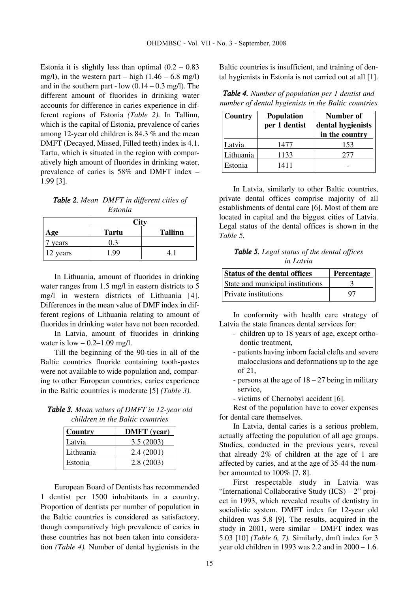Estonia it is slightly less than optimal  $(0.2 - 0.83)$ mg/l), in the western part – high  $(1.46 - 6.8 \text{ mg/l})$ and in the southern part - low  $(0.14 - 0.3 \text{ mg/l})$ . The different amount of fluorides in drinking water accounts for difference in caries experience in different regions of Estonia *(Table 2).* In Tallinn, which is the capital of Estonia, prevalence of caries among 12-year old children is 84.3 % and the mean DMFT (Decayed, Missed, Filled teeth) index is 4.1. Tartu, which is situated in the region with comparatively high amount of fluorides in drinking water, prevalence of caries is 58% and DMFT index – 1.99 [3].

*Table 2. Mean DMFT in different cities of Estonia*

| Age      | <b>Tartu</b> | <b>Tallinn</b> |  |  |  |  |
|----------|--------------|----------------|--|--|--|--|
| years    |              |                |  |  |  |  |
| 12 years | 1.99         |                |  |  |  |  |

In Lithuania, amount of fluorides in drinking water ranges from 1.5 mg/l in eastern districts to 5 mg/l in western districts of Lithuania [4]. Differences in the mean value of DMF index in different regions of Lithuania relating to amount of fluorides in drinking water have not been recorded.

In Latvia, amount of fluorides in drinking water is  $low - 0.2 - 1.09$  mg/l.

Till the beginning of the 90-ties in all of the Baltic countries fluoride containing tooth-pastes were not available to wide population and, comparing to other European countries, caries experience in the Baltic countries is moderate [5] *(Table 3).*

*Table 3. Mean values of DMFT in 12-year old children in the Baltic countries* 

| Country   | <b>DMFT</b> (year) |
|-----------|--------------------|
| Latvia    | 3.5(2003)          |
| Lithuania | 2.4(2001)          |
| Estonia   | 2.8(2003)          |

European Board of Dentists has recommended 1 dentist per 1500 inhabitants in a country. Proportion of dentists per number of population in the Baltic countries is considered as satisfactory, though comparatively high prevalence of caries in these countries has not been taken into consideration *(Table 4).* Number of dental hygienists in the

Baltic countries is insufficient, and training of dental hygienists in Estonia is not carried out at all [1].

*Table 4. Number of population per 1 dentist and number of dental hygienists in the Baltic countries*

| Country   | <b>Population</b><br>per 1 dentist | Number of<br>dental hygienists<br>in the country |  |  |  |
|-----------|------------------------------------|--------------------------------------------------|--|--|--|
| Latvia    | 1477                               | 153                                              |  |  |  |
| Lithuania | 1133                               | 277                                              |  |  |  |
| Estonia   | 1411                               |                                                  |  |  |  |

In Latvia, similarly to other Baltic countries, private dental offices comprise majority of all establishments of dental care [6]. Most of them are located in capital and the biggest cities of Latvia. Legal status of the dental offices is shown in the *Table 5.*

*Table 5. Legal status of the dental offices in Latvia*

| Status of the dental offices     | Percentage |
|----------------------------------|------------|
| State and municipal institutions |            |
| <b>Private institutions</b>      | 97         |

In conformity with health care strategy of Latvia the state finances dental services for:

- children up to 18 years of age, except orthodontic treatment,
- patients having inborn facial clefts and severe malocclusions and deformations up to the age of 21,
- persons at the age of 18 27 being in military service,
- victims of Chernobyl accident [6].

Rest of the population have to cover expenses for dental care themselves.

In Latvia, dental caries is a serious problem, actually affecting the population of all age groups. Studies, conducted in the previous years, reveal that already 2% of children at the age of 1 are affected by caries, and at the age of 35-44 the number amounted to 100% [7, 8].

First respectable study in Latvia was "International Collaborative Study (ICS) – 2" project in 1993, which revealed results of dentistry in socialistic system. DMFT index for 12-year old children was 5.8 [9]. The results, acquired in the study in 2001, were similar – DMFT index was 5.03 [10] *(Table 6, 7).* Similarly, dmft index for 3 year old children in 1993 was 2.2 and in 2000 – 1.6.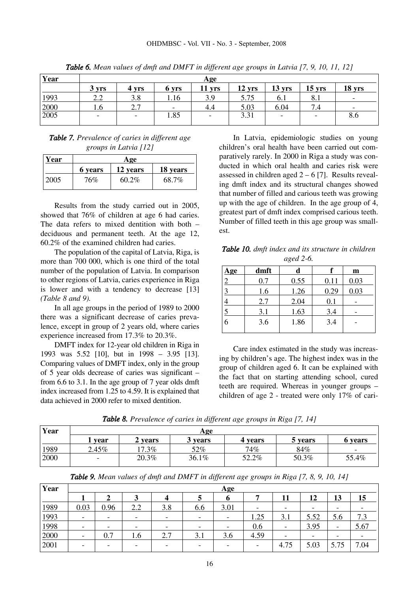| Year | Age       |              |                   |                          |          |                          |          |                          |  |
|------|-----------|--------------|-------------------|--------------------------|----------|--------------------------|----------|--------------------------|--|
|      | 3 yrs     | 4 yrs        | 6 yrs             | $11$ yrs                 | $12$ yrs | $13 \text{ yrs}$         | $15$ yrs | 18 yrs                   |  |
| 1993 | っっ<br>∠.∠ | 3.8          | 1.16              | 3.9                      | 5.75     | 6. I                     | 0.1      | $\overline{\phantom{a}}$ |  |
| 2000 | 1.0       | າ 7<br>، ، ، | $\qquad \qquad -$ | 4.4                      | 5.03     | 6.04                     | 7.4      | $\overline{\phantom{a}}$ |  |
| 2005 | -         | -            | 1.85              | $\overline{\phantom{0}}$ | 3.31     | $\overline{\phantom{0}}$ | -        | 8.6                      |  |
|      |           |              |                   |                          |          |                          |          |                          |  |

*Table 6. Mean values of dmft and DMFT in different age groups in Latvia [7, 9, 10, 11, 12]*

*Table 7. Prevalence of caries in different age groups in Latvia [12]*

| Year | Age     |          |          |  |  |  |  |  |  |
|------|---------|----------|----------|--|--|--|--|--|--|
|      | 6 years | 12 years | 18 years |  |  |  |  |  |  |
| 2005 | 76%     | 60.2%    | 68.7%    |  |  |  |  |  |  |

Results from the study carried out in 2005, showed that 76% of children at age 6 had caries. The data refers to mixed dentition with both – deciduous and permanent teeth. At the age 12, 60.2% of the examined children had caries.

The population of the capital of Latvia, Riga, is more than 700 000, which is one third of the total number of the population of Latvia. In comparison to other regions of Latvia, caries experience in Riga is lower and with a tendency to decrease [13] *(Table 8 and 9).* 

In all age groups in the period of 1989 to 2000 there was a significant decrease of caries prevalence, except in group of 2 years old, where caries experience increased from 17.3% to 20.3%.

DMFT index for 12-year old children in Riga in 1993 was 5.52 [10], but in 1998 – 3.95 [13]. Comparing values of DMFT index, only in the group of 5 year olds decrease of caries was significant – from 6.6 to 3.1. In the age group of 7 year olds dmft index increased from 1.25 to 4.59. It is explained that data achieved in 2000 refer to mixed dentition.

In Latvia, epidemiologic studies on young children's oral health have been carried out comparatively rarely. In 2000 in Riga a study was conducted in which oral health and caries risk were assessed in children aged  $2 - 6$  [7]. Results revealing dmft index and its structural changes showed that number of filled and carious teeth was growing up with the age of children. In the age group of 4, greatest part of dmft index comprised carious teeth. Number of filled teeth in this age group was smallest.

*Table 10. dmft index and its structure in children aged 2-6.* 

| Age            | dmft | d    |      | m    |
|----------------|------|------|------|------|
| $\overline{2}$ | 0.7  | 0.55 | 0.11 | 0.03 |
| 3              | 1.6  | 1.26 | 0.29 | 0.03 |
|                | 2.7  | 2.04 | 0.1  |      |
| 5              | 3.1  | 1.63 | 3.4  |      |
| 6              | 3.6  | 1.86 | 3.4  |      |
|                |      |      |      |      |

Care index estimated in the study was increasing by children's age. The highest index was in the group of children aged 6. It can be explained with the fact that on starting attending school, cured teeth are required. Whereas in younger groups – children of age 2 - treated were only 17% of cari-

*Table 8. Prevalence of caries in different age groups in Riga [7, 14]*

| Year | Age                      |          |         |         |         |                          |  |  |  |
|------|--------------------------|----------|---------|---------|---------|--------------------------|--|--|--|
|      | vear                     | 2 vears  | 3 vears | 4 years | 5 years | 6 years                  |  |  |  |
| 1989 | 2.45%                    | $17.3\%$ | 52%     | 74%     | 84%     | $\overline{\phantom{a}}$ |  |  |  |
| 2000 | $\overline{\phantom{a}}$ | 20.3%    | 36.1%   | 52.2%   | 50.3%   | 55.4%                    |  |  |  |
|      |                          |          |         |         |         |                          |  |  |  |

| <b>Table 9.</b> Mean values of dmft and DMFT in different age groups in Riga [7, 8, 9, 10, 14] |  |  |  |  |  |  |  |
|------------------------------------------------------------------------------------------------|--|--|--|--|--|--|--|
|------------------------------------------------------------------------------------------------|--|--|--|--|--|--|--|

| Year |                              |      |                          |     |                          | Age                      |      |                          |                          |      |      |
|------|------------------------------|------|--------------------------|-----|--------------------------|--------------------------|------|--------------------------|--------------------------|------|------|
|      |                              |      |                          |     |                          |                          |      | 11                       | 12                       | 13   | 15   |
| 1989 | 0.03                         | 0.96 | 2.2                      | 3.8 | 6.6                      | 3.01                     |      | $\overline{\phantom{a}}$ | $\overline{\phantom{0}}$ |      |      |
| 1993 | $\qquad \qquad$              | -    | $\overline{\phantom{a}}$ | -   | -                        | $\overline{\phantom{a}}$ | 1.25 | 3.1                      | 5.52                     | 5.6  | 7.3  |
| 1998 | $\overline{\phantom{0}}$     |      | -                        |     | -                        | $\overline{\phantom{a}}$ | 0.6  | $\overline{\phantom{0}}$ | 3.95                     |      | 5.67 |
| 2000 | $\qquad \qquad \blacksquare$ | 0.7  | 1.6                      | 2.7 | 3.1                      | 3.6                      | 4.59 | $\overline{\phantom{0}}$ | -                        |      |      |
| 2001 | $\overline{\phantom{0}}$     |      | -                        |     | $\overline{\phantom{0}}$ | $\overline{\phantom{0}}$ |      | 4.75                     | 5.03                     | 5.75 | 7.04 |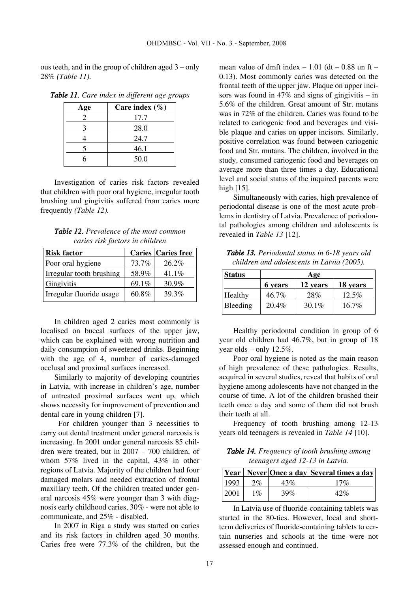ous teeth, and in the group of children aged 3 – only 28% *(Table 11).*

| Age | Care index $(\% )$ |
|-----|--------------------|
|     | 17.7               |
|     | 28.0               |
|     | 24.7               |
|     | 46.1               |
|     | 50.0               |

*Table 11. Care index in different age groups*

Investigation of caries risk factors revealed that children with poor oral hygiene, irregular tooth brushing and gingivitis suffered from caries more frequently *(Table 12).* 

*Table 12. Prevalence of the most common caries risk factors in children*

| <b>Risk factor</b>       |       | <b>Caries Caries free</b> |
|--------------------------|-------|---------------------------|
| Poor oral hygiene        | 73.7% | 26.2%                     |
| Irregular tooth brushing | 58.9% | $41.1\%$                  |
| Gingivitis               | 69.1% | 30.9%                     |
| Irregular fluoride usage | 60.8% | 39.3%                     |

In children aged 2 caries most commonly is localised on buccal surfaces of the upper jaw, which can be explained with wrong nutrition and daily consumption of sweetened drinks. Beginning with the age of 4, number of caries-damaged occlusal and proximal surfaces increased.

Similarly to majority of developing countries in Latvia, with increase in children's age, number of untreated proximal surfaces went up, which shows necessity for improvement of prevention and dental care in young children [7].

For children younger than 3 necessities to carry out dental treatment under general narcosis is increasing. In 2001 under general narcosis 85 children were treated, but in 2007 – 700 children, of whom 57% lived in the capital, 43% in other regions of Latvia. Majority of the children had four damaged molars and needed extraction of frontal maxillary teeth. Of the children treated under general narcosis 45% were younger than 3 with diagnosis early childhood caries, 30% - were not able to communicate, and 25% - disabled.

In 2007 in Riga a study was started on caries and its risk factors in children aged 30 months. Caries free were 77.3% of the children, but the

mean value of dmft index  $-1.01$  (dt  $-0.88$  un ft  $-$ 0.13). Most commonly caries was detected on the frontal teeth of the upper jaw. Plaque on upper incisors was found in  $47\%$  and signs of gingivitis – in 5.6% of the children. Great amount of Str. mutans was in 72% of the children. Caries was found to be related to cariogenic food and beverages and visible plaque and caries on upper incisors. Similarly, positive correlation was found between cariogenic food and Str. mutans. The children, involved in the study, consumed cariogenic food and beverages on average more than three times a day. Educational level and social status of the inquired parents were high [15].

Simultaneously with caries, high prevalence of periodontal disease is one of the most acute problems in dentistry of Latvia. Prevalence of periodontal pathologies among children and adolescents is revealed in *Table 13* [12].

*Table 13. Periodontal status in 6-18 years old children and adolescents in Latvia (2005).*

| <b>Status</b> | Age     |          |          |
|---------------|---------|----------|----------|
|               | 6 years | 12 years | 18 years |
| Healthy       | 46.7%   | 28%      | 12.5%    |
| Bleeding      | 20.4%   | $30.1\%$ | $16.7\%$ |

Healthy periodontal condition in group of 6 year old children had 46.7%, but in group of 18 year olds – only 12.5%.

Poor oral hygiene is noted as the main reason of high prevalence of these pathologies. Results, acquired in several studies, reveal that habits of oral hygiene among adolescents have not changed in the course of time. A lot of the children brushed their teeth once a day and some of them did not brush their teeth at all.

Frequency of tooth brushing among 12-13 years old teenagers is revealed in *Table 14* [10].

*Table 14. Frequency of tooth brushing among teenagers aged 12-13 in Latvia.*

|      |       |     | Year   Never  Once a day   Several times a day |
|------|-------|-----|------------------------------------------------|
| 1993 | $2\%$ | 43% | 17%                                            |
| 2001 | $1\%$ | 39% | 42%                                            |

In Latvia use of fluoride-containing tablets was started in the 80-ties. However, local and shortterm deliveries of fluoride-containing tablets to certain nurseries and schools at the time were not assessed enough and continued.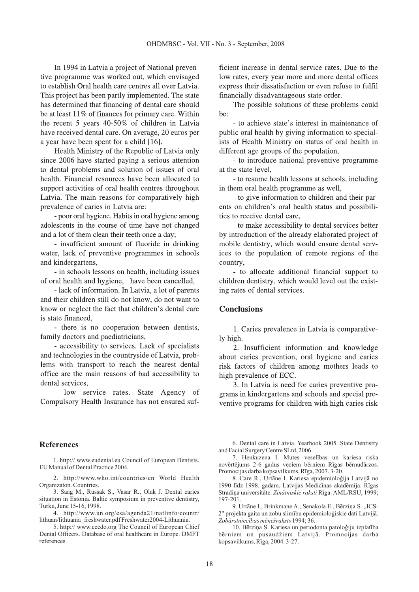In 1994 in Latvia a project of National preventive programme was worked out, which envisaged to establish Oral health care centres all over Latvia. This project has been partly implemented. The state has determined that financing of dental care should be at least 11% of finances for primary care. Within the recent 5 years 40-50% of children in Latvia have received dental care. On average, 20 euros per a year have been spent for a child [16].

Health Ministry of the Republic of Latvia only since 2006 have started paying a serious attention to dental problems and solution of issues of oral health. Financial resources have been allocated to support activities of oral health centres throughout Latvia. The main reasons for comparatively high prevalence of caries in Latvia are:

- poor oral hygiene. Habits in oral hygiene among adolescents in the course of time have not changed and a lot of them clean their teeth once a day;

- insufficient amount of fluoride in drinking water, lack of preventive programmes in schools and kindergartens.

- in schools lessons on health, including issues of oral health and hygiene, have been cancelled,

- lack of information. In Latvia, a lot of parents and their children still do not know, do not want to know or neglect the fact that children's dental care is state financed.

- there is no cooperation between dentists, family doctors and paediatricians,

- accessibility to services. Lack of specialists and technologies in the countryside of Latvia, problems with transport to reach the nearest dental office are the main reasons of bad accessibility to dental services.

- low service rates. State Agency of Compulsory Health Insurance has not ensured sufficient increase in dental service rates. Due to the low rates, every year more and more dental offices express their dissatisfaction or even refuse to fulfil financially disadvantageous state order.

The possible solutions of these problems could be:

- to achieve state's interest in maintenance of public oral health by giving information to specialists of Health Ministry on status of oral health in different age groups of the population,

- to introduce national preventive programme at the state level.

- to resume health lessons at schools, including in them oral health programme as well,

- to give information to children and their parents on children's oral health status and possibilities to receive dental care,

- to make accessibility to dental services better by introduction of the already elaborated project of mobile dentistry, which would ensure dental services to the population of remote regions of the country.

- to allocate additional financial support to children dentistry, which would level out the existing rates of dental services.

## **Conclusions**

1. Caries prevalence in Latvia is comparatively high.

2. Insufficient information and knowledge about caries prevention, oral hygiene and caries risk factors of children among mothers leads to high prevalence of ECC.

3. In Latvia is need for caries preventive programs in kindergartens and schools and special preventive programs for children with high caries risk

## **References**

1. http:// www.eudental.eu Council of European Dentists. EU Manual of Dental Practice 2004.

2. http://www.who.int/countries/en World Health Organizaton. Countries.

3. Saag M., Russak S., Vasar R., Olak J. Dental caries situation in Estonia. Baltic symposium in preventive dentistry, Turku, June 15-16, 1998.

4. http://www.un.org/esa/agenda21/natlinfo/countr/ lithuan/lithuania\_freshwater.pdf Freshwater2004-Lithuania.

5. http:// www.cecdo.org The Council of European Chief Dental Officers. Database of oral healthcare in Europe. DMFT references.

6. Dental care in Latvia. Yearbook 2005. State Dentistry and Facial Surgery Centre SLtd, 2006.

7. Henkuzena I. Mutes veselības un kariesa riska novērtējums 2-6 gadus veciem bērniem Rīgas bērnudārzos. Promocijas darba kopsavilkums, Rīga, 2007. 3-20.

8. Care R., Urtāne I. Kariesa epidemioloģija Latvijā no 1990 līdz 1998. gadam. Latvijas Medicīnas akadēmija. Rīgas Stradiņa universitāte. Zinātniskie raksti Rīga: AML/RSU, 1999; 197-201.

1994; 36. *Zobārstniecības mēnešraksts* 9. Urtāne I., Brinkmane A., Senakola E., Bērziņa S., ICS-2" projekta gaita un zobu slimību epidemioloģiskie dati Latvijā.

10. Bērziņa S. Kariesa un periodonta patoloģiju izplatība bērniem un pusaudžiem Latvijā. Promocijas darba kopsavilkums, Rīga, 2004. 3-27.